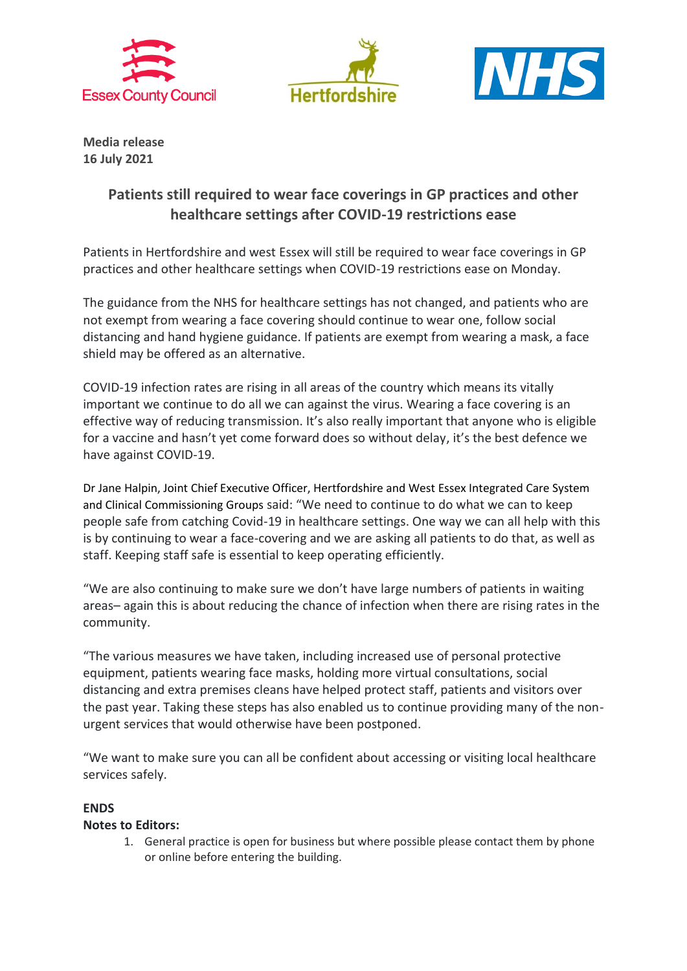





**Media release 16 July 2021**

## **Patients still required to wear face coverings in GP practices and other healthcare settings after COVID-19 restrictions ease**

Patients in Hertfordshire and west Essex will still be required to wear face coverings in GP practices and other healthcare settings when COVID-19 restrictions ease on Monday.

The guidance from the NHS for healthcare settings has not changed, and patients who are not exempt from wearing a face covering should continue to wear one, follow social distancing and hand hygiene guidance. If patients are exempt from wearing a mask, a face shield may be offered as an alternative.

COVID-19 infection rates are rising in all areas of the country which means its vitally important we continue to do all we can against the virus. Wearing a face covering is an effective way of reducing transmission. It's also really important that anyone who is eligible for a vaccine and hasn't yet come forward does so without delay, it's the best defence we have against COVID-19.

Dr Jane Halpin, Joint Chief Executive Officer, Hertfordshire and West Essex Integrated Care System and Clinical Commissioning Groups said: "We need to continue to do what we can to keep people safe from catching Covid-19 in healthcare settings. One way we can all help with this is by continuing to wear a face-covering and we are asking all patients to do that, as well as staff. Keeping staff safe is essential to keep operating efficiently.

"We are also continuing to make sure we don't have large numbers of patients in waiting areas– again this is about reducing the chance of infection when there are rising rates in the community.

"The various measures we have taken, including increased use of personal protective equipment, patients wearing face masks, holding more virtual consultations, social distancing and extra premises cleans have helped protect staff, patients and visitors over the past year. Taking these steps has also enabled us to continue providing many of the nonurgent services that would otherwise have been postponed.

"We want to make sure you can all be confident about accessing or visiting local healthcare services safely.

## **ENDS**

## **Notes to Editors:**

1. General practice is open for business but where possible please contact them by phone or online before entering the building.